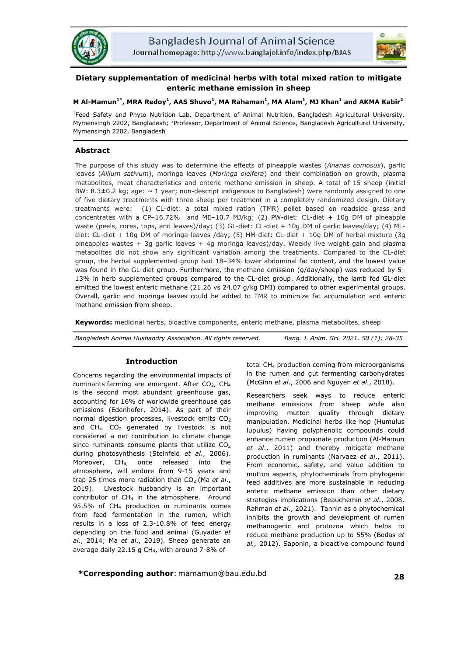



# **Dietary supplementation of medicinal herbs with total mixed ration to mitigate enteric methane emission in sheep**

# **M Al-Mamun1\*, MRA Redoy1 , AAS Shuvo<sup>1</sup> , MA Rahaman1 , MA Alam1 , MJ Khan<sup>1</sup> and AKMA Kabir2**

<sup>1</sup>Feed Safety and Phyto Nutrition Lab, Department of Animal Nutrition, Bangladesh Agricultural University, Mymensingh 2202, Bangladesh; <sup>2</sup>Professor, Department of Animal Science, Bangladesh Agricultural University, Mymensingh 2202, Bangladesh

# **Abstract**

The purpose of this study was to determine the effects of pineapple wastes (*Ananas comosus*), garlic leaves (*Allium sativum*), moringa leaves (*Moringa oleifera*) and their combination on growth, plasma metabolites, meat characteristics and enteric methane emission in sheep. A total of 15 sheep (initial BW: 8.3 $\pm$ 0.2 kg; age:  $\sim$  1 year; non-descript indigenous to Bangladesh) were randomly assigned to one of five dietary treatments with three sheep per treatment in a completely randomized design. Dietary treatments were: (1) CL-diet: a total mixed ration (TMR) pellet based on roadside grass and concentrates with a CP–16.72% and ME–10.7 MJ/kg; (2) PW-diet: CL-diet + 10g DM of pineapple waste (peels, cores, tops, and leaves)/day; (3) GL-diet: CL-diet + 10g DM of garlic leaves/day; (4) MLdiet: CL-diet + 10g DM of moringa leaves /day; (5) HM-diet: CL-diet + 10g DM of herbal mixture (3g pineapples wastes + 3g garlic leaves + 4g moringa leaves)/day. Weekly live weight gain and plasma metabolites did not show any significant variation among the treatments. Compared to the CL-diet group, the herbal supplemented group had 18–34% lower abdominal fat content, and the lowest value was found in the GL-diet group. Furthermore, the methane emission (g/day/sheep) was reduced by 5– 13% in herb supplemented groups compared to the CL-diet group. Additionally, the lamb fed GL-diet emitted the lowest enteric methane (21.26 vs 24.07 g/kg DMI) compared to other experimental groups. Overall, garlic and moringa leaves could be added to TMR to minimize fat accumulation and enteric methane emission from sheep.

**Keywords:** medicinal herbs, bioactive components, enteric methane, plasma metabolites, sheep

| Bangladesh Animal Husbandry Association. All rights reserved. | Bang. J. Anim. Sci. 2021. 50 (1): 28-35 |
|---------------------------------------------------------------|-----------------------------------------|
|                                                               |                                         |

# **Introduction**

Concerns regarding the environmental impacts of ruminants farming are emergent. After  $CO<sub>2</sub>$ , CH<sub>4</sub> is the second most abundant greenhouse gas, accounting for 16% of worldwide greenhouse gas emissions (Edenhofer, 2014). As part of their normal digestion processes, livestock emits  $CO<sub>2</sub>$ and CH<sub>4</sub>. CO<sub>2</sub> generated by livestock is not considered a net contribution to climate change since ruminants consume plants that utilize  $CO<sub>2</sub>$ during photosynthesis (Steinfeld *et al*., 2006). Moreover, CH<sub>4,</sub> once released into the atmosphere, will endure from 9-15 years and trap 25 times more radiation than CO<sub>2</sub> (Ma et al., 2019). Livestock husbandry is an important contributor of CH<sub>4</sub> in the atmosphere. Around 95.5% of CH4 production in ruminants comes from feed fermentation in the rumen, which results in a loss of 2.3-10.8% of feed energy depending on the food and animal (Guyader *et al*., 2014; Ma *et al*., 2019). Sheep generate an average daily 22.15 g CH<sub>4</sub>, with around 7-8% of

total CH4 production coming from microorganisms in the rumen and gut fermenting carbohydrates (McGinn *et al*., 2006 and Nguyen *et al*., 2018).

Researchers seek ways to reduce enteric methane emissions from sheep while also improving mutton quality through dietary manipulation. Medicinal herbs like hop (Humulus lupulus) having polyphenolic compounds could enhance rumen propionate production (Al-Mamun *et al*., 2011) and thereby mitigate methane production in ruminants (Narvaez *et al*., 2011). From economic, safety, and value addition to mutton aspects, phytochemicals from phytogenic feed additives are more sustainable in reducing enteric methane emission than other dietary strategies implications (Beauchemin *et al*., 2008, Rahman *et al*., 2021). Tannin as a phytochemical inhibits the growth and development of rumen methanogenic and protozoa which helps to reduce methane production up to 55% (Bodas *et al.,* 2012). Saponin, a bioactive compound found

**\*Corresponding author**: mamamun@bau.edu.bd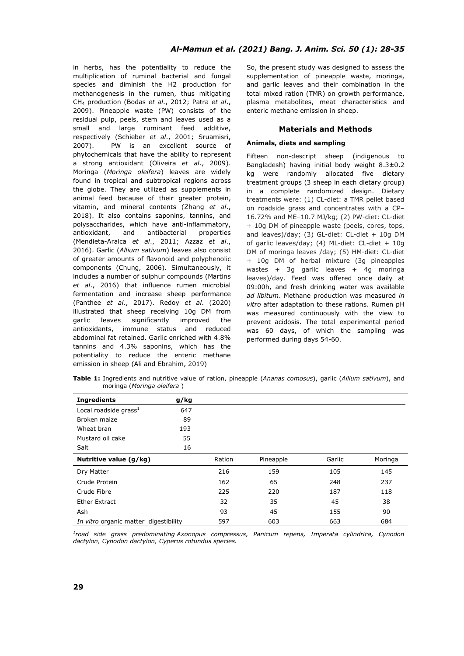in herbs, has the potentiality to reduce the multiplication of ruminal bacterial and fungal species and diminish the H2 production for methanogenesis in the rumen, thus mitigating CH4 production (Bodas *et al*., 2012; Patra *et al*., 2009). Pineapple waste (PW) consists of the residual pulp, peels, stem and leaves used as a small and large ruminant feed additive, respectively (Schieber *et al*., 2001; Sruamisri, 2007). PW is an excellent source of phytochemicals that have the ability to represent a strong antioxidant (Oliveira *et al*., 2009). Moringa (*Moringa oleifera*) leaves are widely found in tropical and subtropical regions across the globe. They are utilized as supplements in animal feed because of their greater protein, vitamin, and mineral contents (Zhang *et al*., 2018). It also contains saponins, tannins, and polysaccharides, which have anti-inflammatory, antioxidant, and antibacterial properties (Mendieta-Araica *et al*., 2011; Azzaz *et al*., 2016). Garlic (*Allium sativum*) leaves also consist of greater amounts of flavonoid and polyphenolic components (Chung, 2006). Simultaneously, it includes a number of sulphur compounds (Martins *et al*., 2016) that influence rumen microbial fermentation and increase sheep performance (Panthee *et al*., 2017). Redoy *et al*. (2020) illustrated that sheep receiving 10g DM from garlic leaves significantly improved the antioxidants, immune status and reduced abdominal fat retained. Garlic enriched with 4.8% tannins and 4.3% saponins, which has the potentiality to reduce the enteric methane emission in sheep (Ali and Ebrahim, 2019)

So, the present study was designed to assess the supplementation of pineapple waste, moringa, and garlic leaves and their combination in the total mixed ration (TMR) on growth performance, plasma metabolites, meat characteristics and enteric methane emission in sheep.

# **Materials and Methods**

# **Animals, diets and sampling**

Fifteen non-descript sheep (indigenous to Bangladesh) having initial body weight 8.3±0.2 kg were randomly allocated five dietary treatment groups (3 sheep in each dietary group) in a complete randomized design. Dietary treatments were: (1) CL-diet: a TMR pellet based on roadside grass and concentrates with a CP– 16.72% and ME–10.7 MJ/kg; (2) PW-diet: CL-diet + 10g DM of pineapple waste (peels, cores, tops, and leaves)/day; (3) GL-diet: CL-diet + 10g DM of garlic leaves/day; (4) ML-diet: CL-diet + 10g DM of moringa leaves /day; (5) HM-diet: CL-diet + 10g DM of herbal mixture (3g pineapples wastes + 3g garlic leaves + 4g moringa leaves)/day. Feed was offered once daily at 09:00h, and fresh drinking water was available *ad libitum*. Methane production was measured *in vitro* after adaptation to these rations. Rumen pH was measured continuously with the view to prevent acidosis. The total experimental period was 60 days, of which the sampling was performed during days 54-60.

**Table 1:** Ingredients and nutritive value of ration, pineapple (*Ananas comosus*), garlic (*Allium sativum*), and moringa (*Moringa oleifera* )

| <b>Ingredients</b>                    | g/kg |        |           |        |         |
|---------------------------------------|------|--------|-----------|--------|---------|
| Local roadside grass $1$              | 647  |        |           |        |         |
| Broken maize                          | 89   |        |           |        |         |
| Wheat bran                            | 193  |        |           |        |         |
| Mustard oil cake                      | 55   |        |           |        |         |
| Salt                                  | 16   |        |           |        |         |
| Nutritive value (g/kg)                |      | Ration | Pineapple | Garlic | Moringa |
| Dry Matter                            |      | 216    | 159       | 105    | 145     |
| Crude Protein                         |      | 162    | 65        | 248    | 237     |
| Crude Fibre                           |      | 225    | 220       | 187    | 118     |
| Ether Extract                         |      | 32     | 35        | 45     | 38      |
| Ash                                   |      | 93     | 45        | 155    | 90      |
| In vitro organic matter digestibility |      | 597    | 603       | 663    | 684     |

*1 road side grass predominating Axonopus compressus, Panicum repens, Imperata cylindrica, Cynodon dactylon, Cynodon dactylon, Cyperus rotundus species.*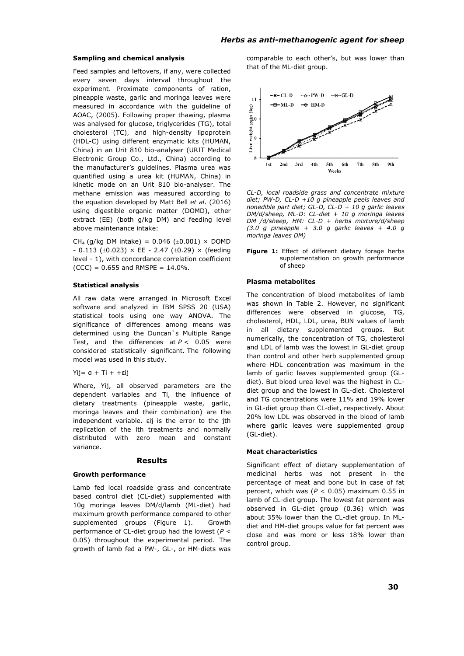### **Sampling and chemical analysis**

Feed samples and leftovers, if any, were collected every seven days interval throughout the experiment. Proximate components of ration, pineapple waste, garlic and moringa leaves were measured in accordance with the guideline of AOAC, (2005). Following proper thawing, plasma was analysed for glucose, triglycerides (TG), total cholesterol (TC), and high-density lipoprotein (HDL-C) using different enzymatic kits (HUMAN, China) in an Urit 810 bio-analyser (URIT Medical Electronic Group Co., Ltd., China) according to the manufacturer's guidelines. Plasma urea was quantified using a urea kit (HUMAN, China) in kinetic mode on an Urit 810 bio-analyser. The methane emission was measured according to the equation developed by Matt Bell *et al*. (2016) using digestible organic matter (DOMD), ether extract (EE) (both g/kg DM) and feeding level above maintenance intake:

CH<sub>4</sub> (g/kg DM intake) =  $0.046$  ( $\pm 0.001$ ) × DOMD  $- 0.113$  ( $\pm 0.023$ ) × EE - 2.47 ( $\pm 0.29$ ) × (feeding level - 1), with concordance correlation coefficient  $(CCC) = 0.655$  and RMSPE = 14.0%.

### **Statistical analysis**

All raw data were arranged in Microsoft Excel software and analyzed in IBM SPSS 20 (USA) statistical tools using one way ANOVA. The significance of differences among means was determined using the Duncan`s Multiple Range Test, and the differences at *P* < 0.05 were considered statistically significant. The following model was used in this study.

### Yij= α + Ti + +εij

Where, Yij, all observed parameters are the dependent variables and Ti, the influence of dietary treatments (pineapple waste, garlic, moringa leaves and their combination) are the independent variable. εij is the error to the jth replication of the ith treatments and normally distributed with zero mean and constant variance.

### **Results**

### **Growth performance**

Lamb fed local roadside grass and concentrate based control diet (CL-diet) supplemented with 10g moringa leaves DM/d/lamb (ML-diet) had maximum growth performance compared to other supplemented groups (Figure 1). Growth performance of CL-diet group had the lowest (*P* < 0.05) throughout the experimental period. The growth of lamb fed a PW-, GL-, or HM-diets was

comparable to each other's, but was lower than that of the ML-diet group.



*CL-D, local roadside grass and concentrate mixture diet; PW-D, CL-D +10 g pineapple peels leaves and nonedible part diet; GL-D, CL-D + 10 g garlic leaves DM/d/sheep, ML-D: CL-diet + 10 g moringa leaves DM /d/sheep, HM: CL-D + herbs mixture/d/sheep (3.0 g pineapple + 3.0 g garlic leaves + 4.0 g moringa leaves DM)*

**Figure 1:** Effect of different dietary forage herbs supplementation on growth performance of sheep

#### **Plasma metabolites**

The concentration of blood metabolites of lamb was shown in Table 2. However, no significant differences were observed in glucose, TG, cholesterol, HDL, LDL, urea, BUN values of lamb all dietary supplemented groups. But numerically, the concentration of TG, cholesterol and LDL of lamb was the lowest in GL-diet group than control and other herb supplemented group where HDL concentration was maximum in the lamb of garlic leaves supplemented group (GLdiet). But blood urea level was the highest in CLdiet group and the lowest in GL-diet. Cholesterol and TG concentrations were 11% and 19% lower in GL-diet group than CL-diet, respectively. About 20% low LDL was observed in the blood of lamb where garlic leaves were supplemented group (GL-diet).

#### **Meat characteristics**

Significant effect of dietary supplementation of medicinal herbs was not present in the percentage of meat and bone but in case of fat percent, which was (*P* < 0.05) maximum 0.55 in lamb of CL-diet group. The lowest fat percent was observed in GL-diet group (0.36) which was about 35% lower than the CL-diet group. In MLdiet and HM-diet groups value for fat percent was close and was more or less 18% lower than control group.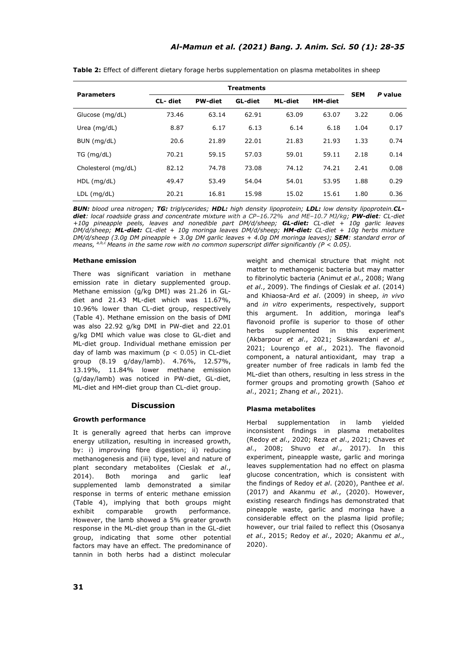| <b>Parameters</b>   | <b>Treatments</b> |                |         |         |                |            | P value |
|---------------------|-------------------|----------------|---------|---------|----------------|------------|---------|
|                     | CL-diet           | <b>PW-diet</b> | GL-diet | ML-diet | <b>HM-diet</b> | <b>SEM</b> |         |
| Glucose (mg/dL)     | 73.46             | 63.14          | 62.91   | 63.09   | 63.07          | 3.22       | 0.06    |
| Urea $(mq/dL)$      | 8.87              | 6.17           | 6.13    | 6.14    | 6.18           | 1.04       | 0.17    |
| BUN (mg/dL)         | 20.6              | 21.89          | 22.01   | 21.83   | 21.93          | 1.33       | 0.74    |
| TG (mq/dL)          | 70.21             | 59.15          | 57.03   | 59.01   | 59.11          | 2.18       | 0.14    |
| Cholesterol (mg/dL) | 82.12             | 74.78          | 73.08   | 74.12   | 74.21          | 2.41       | 0.08    |
| $HDL$ (mg/dL)       | 49.47             | 53.49          | 54.04   | 54.01   | 53.95          | 1.88       | 0.29    |
| $LDL$ (mg/dL)       | 20.21             | 16.81          | 15.98   | 15.02   | 15.61          | 1.80       | 0.36    |

**Table 2:** Effect of different dietary forage herbs supplementation on plasma metabolites in sheep

*BUN: blood urea nitrogen; TG: triglycerides; HDL: high density lipoprotein; LDL: low density lipoprotein.CLdiet: local roadside grass and concentrate mixture with a CP–16.72% and ME–10.7 MJ/kg; PW-diet: CL-diet +10g pineapple peels, leaves and nonedible part DM/d/sheep; GL-diet: CL-diet + 10g garlic leaves DM/d/sheep; ML-diet: CL-diet + 10g moringa leaves DM/d/sheep; HM-diet: CL-diet + 10g herbs mixture DM/d/sheep (3.0g DM pineapple + 3.0g DM garlic leaves + 4.0g DM moringa leaves); SEM: standard error of means, a,b,c Means in the same row with no common superscript differ significantly (P < 0.05).*

# **Methane emission**

There was significant variation in methane emission rate in dietary supplemented group. Methane emission (g/kg DMI) was 21.26 in GLdiet and 21.43 ML-diet which was 11.67%, 10.96% lower than CL-diet group, respectively (Table 4). Methane emission on the basis of DMI was also 22.92 g/kg DMI in PW-diet and 22.01 g/kg DMI which value was close to GL-diet and ML-diet group. Individual methane emission per day of lamb was maximum ( $p < 0.05$ ) in CL-diet group (8.19 g/day/lamb). 4.76%, 12.57%, 13.19%, 11.84% lower methane emission (g/day/lamb) was noticed in PW-diet, GL-diet, ML-diet and HM-diet group than CL-diet group.

## **Discussion**

## **Growth performance**

It is generally agreed that herbs can improve energy utilization, resulting in increased growth, by: i) improving fibre digestion; ii) reducing methanogenesis and (iii) type, level and nature of plant secondary metabolites (Cieslak *et al*., 2014). Both moringa and garlic leaf supplemented lamb demonstrated a similar response in terms of enteric methane emission (Table 4), implying that both groups might exhibit comparable growth performance. However, the lamb showed a 5% greater growth response in the ML-diet group than in the GL-diet group, indicating that some other potential factors may have an effect. The predominance of tannin in both herbs had a distinct molecular weight and chemical structure that might not matter to methanogenic bacteria but may matter to fibrinolytic bacteria (Animut *et al*., 2008; Wang *et al*., 2009). The findings of Cieslak *et al*. (2014) and Khiaosa-Ard *et al*. (2009) in sheep, *in vivo* and *in vitro* experiments, respectively, support this argument. In addition, moringa leaf's flavonoid profile is superior to those of other herbs supplemented in this experiment (Akbarpour *et al*., 2021; Siskawardani *et al*., 2021; Lourenço *et al*., 2021). The flavonoid component, a natural antioxidant, may trap a greater number of free radicals in lamb fed the ML-diet than others, resulting in less stress in the former groups and promoting growth (Sahoo *et al*., 2021; Zhang *et al*., 2021).

## **Plasma metabolites**

Herbal supplementation in lamb yielded inconsistent findings in plasma metabolites (Redoy *et al*., 2020; Reza *et al*., 2021; Chaves *et al*., 2008; Shuvo *et al*., 2017). In this experiment, pineapple waste, garlic and moringa leaves supplementation had no effect on plasma glucose concentration, which is consistent with the findings of Redoy *et al*. (2020), Panthee *et al*. (2017) and Akanmu *et al*., (2020). However, existing research findings has demonstrated that pineapple waste, garlic and moringa have a considerable effect on the plasma lipid profile; however, our trial failed to reflect this (Ososanya *et al*., 2015; Redoy *et al*., 2020; Akanmu *et al*., 2020).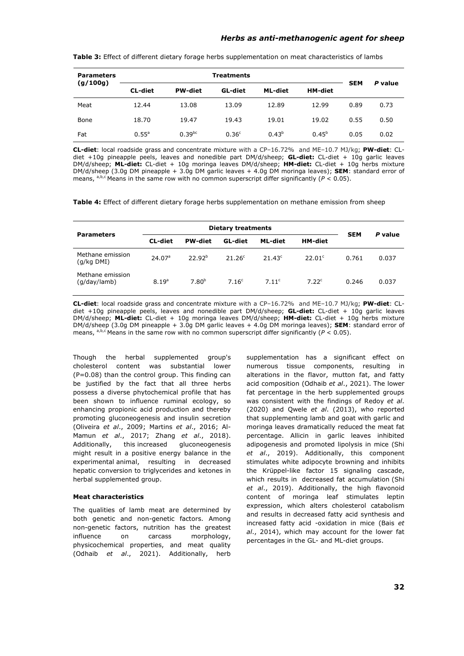| <b>Parameters</b><br>(g/100g) | <b>Treatments</b> |                |                   |            |                |            | P value |
|-------------------------------|-------------------|----------------|-------------------|------------|----------------|------------|---------|
|                               | <b>CL-diet</b>    | <b>PW-diet</b> | GL-diet           | ML-diet    | <b>HM-diet</b> | <b>SEM</b> |         |
| Meat                          | 12.44             | 13.08          | 13.09             | 12.89      | 12.99          | 0.89       | 0.73    |
| Bone                          | 18.70             | 19.47          | 19.43             | 19.01      | 19.02          | 0.55       | 0.50    |
| Fat                           | $0.55^{\circ}$    | $0.39^{bc}$    | 0.36 <sup>c</sup> | $0.43^{b}$ | $0.45^{b}$     | 0.05       | 0.02    |

**Table 3:** Effect of different dietary forage herbs supplementation on meat characteristics of lambs

**CL-diet**: local roadside grass and concentrate mixture with a CP–16.72% and ME–10.7 MJ/kg; **PW-diet**: CLdiet +10g pineapple peels, leaves and nonedible part DM/d/sheep; **GL-diet:** CL-diet + 10g garlic leaves DM/d/sheep; **ML-diet:** CL-diet + 10g moringa leaves DM/d/sheep; **HM-diet:** CL-diet + 10g herbs mixture DM/d/sheep (3.0g DM pineapple + 3.0g DM garlic leaves + 4.0g DM moringa leaves); **SEM**: standard error of means, a,b,c Means in the same row with no common superscript differ significantly ( $P < 0.05$ ).

**Table 4:** Effect of different dietary forage herbs supplementation on methane emission from sheep

| <b>Parameters</b>                | <b>Dietary treatments</b> |                    |                   |                 |                    |            |         |
|----------------------------------|---------------------------|--------------------|-------------------|-----------------|--------------------|------------|---------|
|                                  | CL-diet                   | <b>PW-diet</b>     | GL-diet           | ML-diet         | <b>HM-diet</b>     | <b>SEM</b> | P value |
| Methane emission<br>(g/kg DMI)   | 24.07 <sup>a</sup>        | 22.92 <sup>b</sup> | $21.26^{\circ}$   | $21.43^{\circ}$ | 22.01 <sup>c</sup> | 0.761      | 0.037   |
| Methane emission<br>(g/day/lamb) | 8.19 <sup>a</sup>         | 7.80 <sup>b</sup>  | 7.16 <sup>c</sup> | 7.11c           | 7.22 <sup>c</sup>  | 0.246      | 0.037   |

**CL-diet**: local roadside grass and concentrate mixture with a CP–16.72% and ME–10.7 MJ/kg; **PW-diet**: CLdiet +10g pineapple peels, leaves and nonedible part DM/d/sheep; **GL-diet:** CL-diet + 10g garlic leaves DM/d/sheep; **ML-diet:** CL-diet + 10g moringa leaves DM/d/sheep; **HM-diet:** CL-diet + 10g herbs mixture DM/d/sheep (3.0g DM pineapple + 3.0g DM garlic leaves + 4.0g DM moringa leaves); **SEM**: standard error of means, a,b,c Means in the same row with no common superscript differ significantly ( $P < 0.05$ ).

Though the herbal supplemented group's cholesterol content was substantial lower (P=0.08) than the control group. This finding can be justified by the fact that all three herbs possess a diverse phytochemical profile that has been shown to influence ruminal ecology, so enhancing propionic acid production and thereby promoting gluconeogenesis and insulin secretion (Oliveira *et al*., 2009; Martins *et al*., 2016; Al-Mamun *et al*., 2017; Zhang *et al*., 2018). Additionally, this increased gluconeogenesis might result in a positive energy balance in the experimental animal, resulting in decreased hepatic conversion to triglycerides and ketones in herbal supplemented group.

# **Meat characteristics**

The qualities of lamb meat are determined by both genetic and non-genetic factors. Among non-genetic factors, nutrition has the greatest influence on carcass morphology, physicochemical properties, and meat quality (Odhaib *et al*., 2021). Additionally, herb supplementation has a significant effect on numerous tissue components, resulting in alterations in the flavor, mutton fat, and fatty acid composition (Odhaib *et al*., 2021). The lower fat percentage in the herb supplemented groups was consistent with the findings of Redoy *et al*. (2020) and Qwele *et al*. (2013), who reported that supplementing lamb and goat with garlic and moringa leaves dramatically reduced the meat fat percentage. Allicin in garlic leaves inhibited adipogenesis and promoted lipolysis in mice (Shi *et al*., 2019). Additionally, this component stimulates white adipocyte browning and inhibits the Krüppel-like factor 15 signaling cascade, which results in decreased fat accumulation (Shi *et al*., 2019). Additionally, the high flavonoid content of moringa leaf stimulates leptin expression, which alters cholesterol catabolism and results in decreased fatty acid synthesis and increased fatty acid -oxidation in mice (Bais *et al*., 2014), which may account for the lower fat percentages in the GL- and ML-diet groups.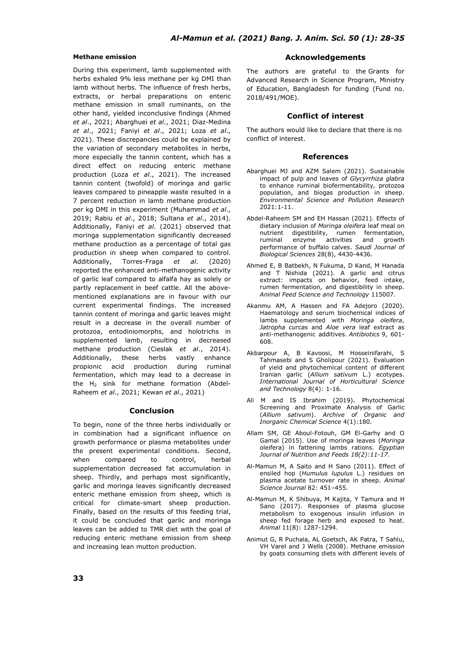# **Methane emission**

During this experiment, lamb supplemented with herbs exhaled 9% less methane per kg DMI than lamb without herbs. The influence of fresh herbs, extracts, or herbal preparations on enteric methane emission in small ruminants, on the other hand, yielded inconclusive findings (Ahmed *et al*., 2021; Abarghuei *et al*., 2021; Diaz-Medina *et al*., 2021; Faniyi *et al*., 2021; Loza *et al*., 2021). These discrepancies could be explained by the variation of secondary metabolites in herbs, more especially the tannin content, which has a direct effect on reducing enteric methane production (Loza *et al*., 2021). The increased tannin content (twofold) of moringa and garlic leaves compared to pineapple waste resulted in a 7 percent reduction in lamb methane production per kg DMI in this experiment (Muhammad *et al*., 2019; Rabiu *et al*., 2018; Sultana *et al*., 2014). Additionally, Faniyi *et al*. (2021) observed that moringa supplementation significantly decreased methane production as a percentage of total gas production in sheep when compared to control. Additionally, Torres-Fraga *et al*. (2020) reported the enhanced anti-methanogenic activity of garlic leaf compared to alfalfa hay as solely or partly replacement in beef cattle. All the abovementioned explanations are in favour with our current experimental findings. The increased tannin content of moringa and garlic leaves might result in a decrease in the overall number of protozoa, entodiniomorphs, and holotrichs in supplemented lamb, resulting in decreased methane production (Cieslak *et al*., 2014). Additionally, these herbs vastly enhance propionic acid production during ruminal fermentation, which may lead to a decrease in the  $H_2$  sink for methane formation (Abdel-Raheem *et al*., 2021; Kewan *et al*., 2021)

# **Conclusion**

To begin, none of the three herbs individually or in combination had a significant influence on growth performance or plasma metabolites under the present experimental conditions. Second, when compared to control, herbal supplementation decreased fat accumulation in sheep. Thirdly, and perhaps most significantly, garlic and moringa leaves significantly decreased enteric methane emission from sheep, which is critical for climate-smart sheep production. Finally, based on the results of this feeding trial, it could be concluded that garlic and moringa leaves can be added to TMR diet with the goal of reducing enteric methane emission from sheep and increasing lean mutton production.

# **Acknowledgements**

The authors are grateful to the Grants for Advanced Research in Science Program, Ministry of Education, Bangladesh for funding (Fund no. 2018/491/MOE).

# **Conflict of interest**

The authors would like to declare that there is no conflict of interest.

### **References**

- Abarghuei MJ and AZM Salem (2021). Sustainable impact of pulp and leaves of *Glycyrrhiza glabra* to enhance ruminal biofermentability, protozoa population, and biogas production in sheep. *Environmental Science and Pollution Research* 2021:1-11.
- Abdel-Raheem SM and EH Hassan (2021). Effects of dietary inclusion of *Moringa oleifera* leaf meal on nutrient digestibility, rumen fermentation, ruminal enzyme activities and growth performance of buffalo calves. *Saudi Journal of Biological Sciences* 28(8), 4430-4436.
- Ahmed E, B Batbekh, N Fukuma, D Kand, M Hanada and T Nishida (2021). A garlic and citrus extract: impacts on behavior, feed intake, rumen fermentation, and digestibility in sheep. *Animal Feed Science and Technology* 115007.
- Akanmu AM, A Hassen and FA Adejoro (2020). Haematology and serum biochemical indices of lambs supplemented with *Moringa oleifera*, *Jatropha curcas* and *Aloe vera* leaf extract as anti-methanogenic additives. *Antibiotics* 9, 601- 608.
- Akbarpour A, B Kavoosi, M Hosseinifarahi, S Tahmasebi and S Gholipour (2021). Evaluation of yield and phytochemical content of different Iranian garlic (*Allium sativum* L.) ecotypes. *International Journal of Horticultural Science and Technology* 8(4): 1-16.
- Ali M and IS Ibrahim (2019). Phytochemical Screening and Proximate Analysis of Garlic (*Allium sativum*). *Archive of Organic and Inorganic Chemical Science* 4(1):180.
- Allam SM, GE Aboul-Fotouh, GM El-Garhy and O Gamal (2015). Use of moringa leaves (*Moringa*  oleifera) in fattening lambs rations. *Egyptian Journal of Nutrition and Feeds 18(2):11-17.*
- Al-Mamun M, A Saito and H Sano (2011). Effect of ensiled hop (*Humulus lupulus* L.) residues on plasma acetate turnover rate in sheep. *Animal Science Journal* 82: 451–455.
- Al-Mamun M, K Shibuya, M Kajita, Y Tamura and H Sano (2017). Responses of plasma glucose metabolism to exogenous insulin infusion in sheep fed forage herb and exposed to heat. *Animal* 11(8): 1287-1294.
- Animut G, R Puchala, AL Goetsch, AK Patra, T Sahlu, VH Varel and J Wells (2008). Methane emission by goats consuming diets with different levels of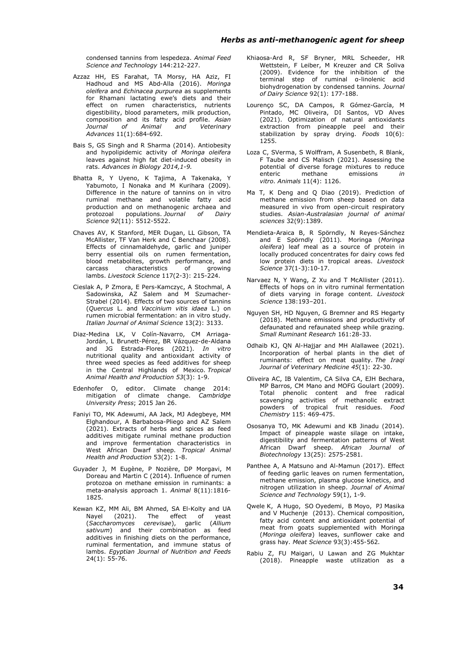condensed tannins from lespedeza. *Animal Feed Science and Technology* 144:212-227.

- Azzaz HH, ES Farahat, TA Morsy, HA Aziz, FI Hadhoud and MS Abd-Alla (2016). *Moringa oleifera* and *Echinacea purpurea* as supplements for Rhamani lactating ewe's diets and their effect on rumen characteristics, nutrients digestibility, blood parameters, milk production, composition and its fatty acid profile. *Asian Journal of Animal and Veterinary Advances* 11(1):684-692.
- Bais S, GS Singh and R Sharma (2014). Antiobesity and hypolipidemic activity of *Moringa oleifera*  leaves against high fat diet-induced obesity in rats. *Advances in Biology 2014,1-9.*
- Bhatta R, Y Uyeno, K Tajima, A Takenaka, Yabumoto, I Nonaka and M Kurihara (2009). Difference in the nature of tannins on in vitro ruminal methane and volatile fatty acid production and on methanogenic archaea and protozoal populations. *Journal of Dairy Science 92*(11): 5512-5522.
- Chaves AV, K Stanford, MER Dugan, LL Gibson, TA McAllister, TF Van Herk and C Benchaar (2008). Effects of cinnamaldehyde, garlic and juniper berry essential oils on rumen fermentation, blood metabolites, growth performance, and<br>carcass characteristics of growing characteristics lambs. *Livestock Science* 117(2-3): 215-224.
- Cieslak A, P Zmora, E Pers-Kamczyc, A Stochmal, A Sadowinska, AZ Salem and M Szumacher-Strabel (2014). Effects of two sources of tannins (*Quercus* L. and *Vaccinium vitis idaea* L.) on rumen microbial fermentation: an in vitro study. *Italian Journal of Animal Science* 13(2): 3133.
- Diaz-Medina LK, V Colín-Navarro, CM Arriaga-Jordán, L Brunett-Pérez, BR Vázquez-de-Aldana and JG Estrada-Flores (2021). *In vitro* nutritional quality and antioxidant activity of three weed species as feed additives for sheep in the Central Highlands of Mexico. *Tropical Animal Health and Production 53*(3): 1-9.
- Edenhofer O, editor. Climate change 2014: mitigation of climate change. *Cambridge University Press*; 2015 Jan 26.
- Faniyi TO, MK Adewumi, AA Jack, MJ Adegbeye, MM Elghandour, A Barbabosa-Pliego and AZ Salem (2021). Extracts of herbs and spices as feed additives mitigate ruminal methane production and improve fermentation characteristics in West African Dwarf sheep. *Tropical Animal Health and Production* 53(2): 1-8.
- Guyader J, M Eugène, P Nozière, DP Morgavi, M Doreau and Martin C (2014). Influence of rumen protozoa on methane emission in ruminants: a meta-analysis approach 1. *Animal* 8(11):1816- 1825.
- Kewan KZ, MM Ali, BM Ahmed, SA El-Kolty and UA<br>Nayel (2021). The effect of yeast Nayel  $(2021)$ . The effect of (*Saccharomyces cerevisae*), garlic (*Allium sativum*) and their combination as feed additives in finishing diets on the performance, ruminal fermentation, and immune status of lambs. *Egyptian Journal of Nutrition and Feeds*  $24(1): 55-76.$
- Khiaosa-Ard R, SF Bryner, MRL Scheeder, HR Wettstein, F Leiber, M Kreuzer and CR Soliva (2009). Evidence for the inhibition of the terminal step of ruminal α-linolenic acid biohydrogenation by condensed tannins. *Journal of Dairy Science* 92(1): 177-188.
- Lourenço SC, DA Campos, R Gómez-García, M Pintado, MC Oliveira, DI Santos, VD Alves (2021). Optimization of natural antioxidants extraction from pineapple peel and their stabilization by spray drying. *Foods* 10(6): 1255.
- Loza C, SVerma, S Wolffram, A Susenbeth, R Blank, F Taube and CS Malisch (2021). Assessing the potential of diverse forage mixtures to reduce enteric methane emissions *in vitro*. *Animals* 11(4): 1126.
- Ma T, K Deng and Q Diao (2019). Prediction of methane emission from sheep based on data measured in vivo from open-circuit respiratory studies. *Asian-Australasian journal of animal sciences* 32(9):1389.
- Mendieta-Araica B, R Spörndly, N Reyes-Sánchez and E Spörndly (2011). Moringa (*Moringa oleifera*) leaf meal as a source of protein in locally produced concentrates for dairy cows fed low protein diets in tropical areas. *Livestock Science* 37(1-3):10-17.
- Narvaez N, Y Wang, Z Xu and T McAllister (2011). Effects of hops on in vitro ruminal fermentation of diets varying in forage content. *Livestock Science* 138:193–201.
- Nguyen SH, HD Nguyen, G Bremner and RS Hegarty (2018). Methane emissions and productivity of defaunated and refaunated sheep while grazing. *Small Ruminant Research* 161:28-33.
- Odhaib KJ, QN Al-Hajjar and MH Alallawee (2021). Incorporation of herbal plants in the diet of ruminants: effect on meat quality. *The Iraqi Journal of Veterinary Medicine 45*(1): 22-30.
- Oliveira AC, IB Valentim, CA Silva CA, EJH Bechara, MP Barros, CM Mano and MOFG Goulart (2009). Total phenolic content and free radical scavenging activities of methanolic extract powders of tropical fruit residues. *Food Chemistry* 115: 469-475.
- Ososanya TO, MK Adewumi and KB Jinadu (2014). Impact of pineapple waste silage on intake, digestibility and fermentation patterns of West African Dwarf sheep. *African Journal of Biotechnology* 13(25): 2575-2581.
- Panthee A, A Matsuno and Al-Mamun (2017). Effect of feeding garlic leaves on rumen fermentation, methane emission, plasma glucose kinetics, and nitrogen utilization in sheep. *Journal of Animal Science and Technology* 59(1), 1-9.
- Qwele K, A Hugo, SO Oyedemi, B Moyo, PJ Masika and V Muchenje (2013). Chemical composition, fatty acid content and antioxidant potential of meat from goats supplemented with Moringa (*Moringa oleifera*) leaves, sunflower cake and grass hay. *Meat Science* 93(3):455-562.
- Rabiu Z, FU Maigari, U Lawan and ZG Mukhtar (2018). Pineapple waste utilization as a